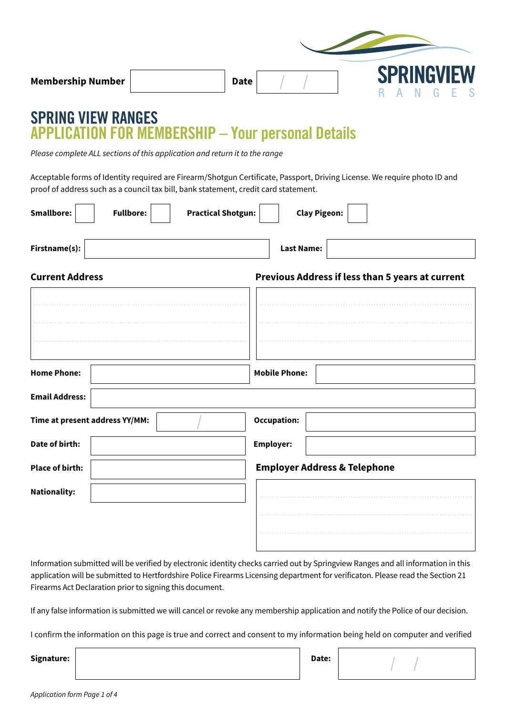| <b>Membership Number</b> | <b>Date</b> |  |  | <b>SPRINGVIEW</b><br>NG FS |  |  |
|--------------------------|-------------|--|--|----------------------------|--|--|

# **SPRING VIEW RANGES APPLICATION FOR MEMBERSHIP – Your personal Details**

*Please complete ALL sections of this application and return it to the range* 

Acceptable forms of Identity required are Firearm/Shotgun Certificate, Passport, Driving License. We require photo ID and proof of address such as a council tax bill, bank statement, credit card statement.

| <b>Smallbore:</b>              | <b>Fullbore:</b> | <b>Practical Shotgun:</b> |                                         | <b>Clay Pigeon:</b> |                                                  |
|--------------------------------|------------------|---------------------------|-----------------------------------------|---------------------|--------------------------------------------------|
| Firstname(s):                  |                  |                           | <b>Last Name:</b>                       |                     |                                                  |
| <b>Current Address</b>         |                  |                           |                                         |                     | Previous Address if less than 5 years at current |
|                                |                  |                           |                                         |                     |                                                  |
|                                |                  |                           |                                         |                     |                                                  |
| <b>Home Phone:</b>             |                  |                           | <b>Mobile Phone:</b>                    |                     |                                                  |
|                                |                  |                           |                                         |                     |                                                  |
| <b>Email Address:</b>          |                  |                           |                                         |                     |                                                  |
| Time at present address YY/MM: |                  |                           | <b>Occupation:</b>                      |                     |                                                  |
| Date of birth:                 |                  |                           | <b>Employer:</b>                        |                     |                                                  |
| <b>Place of birth:</b>         |                  |                           | <b>Employer Address &amp; Telephone</b> |                     |                                                  |
| <b>Nationality:</b>            |                  |                           |                                         |                     |                                                  |
|                                |                  |                           |                                         |                     |                                                  |
|                                |                  |                           |                                         |                     |                                                  |

Information submitted will be verified by electronic identity checks carried out by Springview Ranges and all information in this application will be submitted to Hertfordshire Police Firearms Licensing department for verificaton. Please read the Section 21 Firearms Act Declaration prior to signing this document.

If any false information is submitted we will cancel or revoke any membership application and notify the Police of our decision.

I confirm the information on this page is true and correct and consent to my information being held on computer and verified

| Signature: | Date: |  |
|------------|-------|--|
|            |       |  |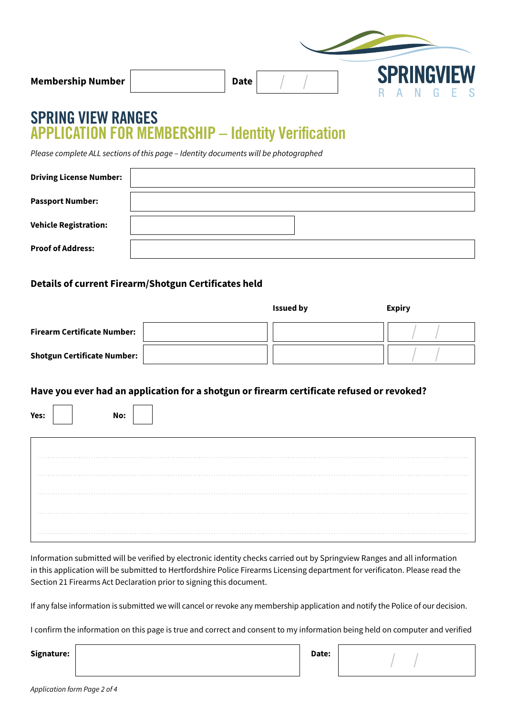### **SPRING VIEW RANGES APPLICATION FOR MEMBERSHIP – Identity Verification**

*Please complete ALL sections of this page – Identity documents will be photographed*

| <b>Driving License Number:</b> |  |
|--------------------------------|--|
| <b>Passport Number:</b>        |  |
| <b>Vehicle Registration:</b>   |  |
| <b>Proof of Address:</b>       |  |

#### **Details of current Firearm/Shotgun Certificates held**

|                                    | <b>Issued by</b> | <b>Expiry</b> |
|------------------------------------|------------------|---------------|
| <b>Firearm Certificate Number:</b> |                  |               |
| <b>Shotgun Certificate Number:</b> |                  |               |

#### **Have you ever had an application for a shotgun or firearm certificate refused or revoked?**

| Yes: |   |  |  |  |  | No: |  |  |  |  |  |  |  |  |  |  |  |  |  |  |  |  |  |  |  |  |  |          |  |
|------|---|--|--|--|--|-----|--|--|--|--|--|--|--|--|--|--|--|--|--|--|--|--|--|--|--|--|--|----------|--|
|      | . |  |  |  |  |     |  |  |  |  |  |  |  |  |  |  |  |  |  |  |  |  |  |  |  |  |  | $-0.00$  |  |
|      |   |  |  |  |  |     |  |  |  |  |  |  |  |  |  |  |  |  |  |  |  |  |  |  |  |  |  |          |  |
|      |   |  |  |  |  |     |  |  |  |  |  |  |  |  |  |  |  |  |  |  |  |  |  |  |  |  |  | .        |  |
|      | . |  |  |  |  |     |  |  |  |  |  |  |  |  |  |  |  |  |  |  |  |  |  |  |  |  |  |          |  |
|      | . |  |  |  |  |     |  |  |  |  |  |  |  |  |  |  |  |  |  |  |  |  |  |  |  |  |  | $-0.001$ |  |

Information submitted will be verified by electronic identity checks carried out by Springview Ranges and all information in this application will be submitted to Hertfordshire Police Firearms Licensing department for verificaton. Please read the Section 21 Firearms Act Declaration prior to signing this document.

If any false information is submitted we will cancel or revoke any membership application and notify the Police of our decision.

I confirm the information on this page is true and correct and consent to my information being held on computer and verified

**Signature: Date:**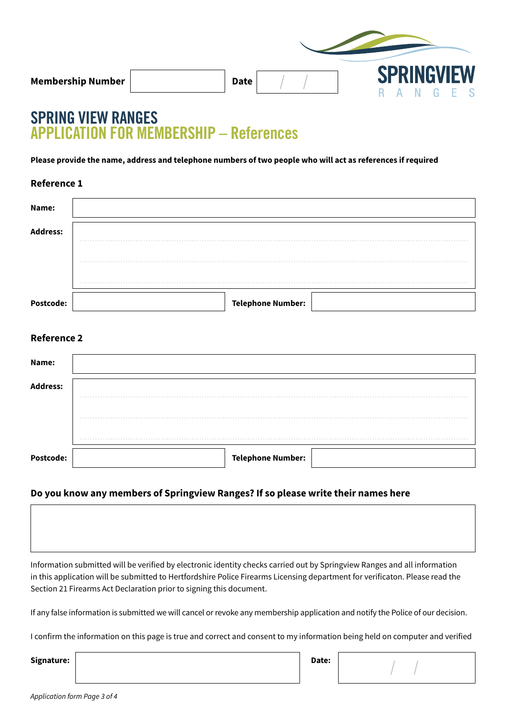# **SPRING VIEW RANGES APPLICATION FOR MEMBERSHIP – References**

**Please provide the name, address and telephone numbers of two people who will act as references if required**

**Reference 1** 

| Name:            |                          |
|------------------|--------------------------|
| <b>Address:</b>  | .                        |
|                  | .                        |
|                  | $-2$                     |
| <b>Postcode:</b> | <b>Telephone Number:</b> |

### **Reference 2**

| Name:            |                          |
|------------------|--------------------------|
| <b>Address:</b>  | $-0$ $-0$ $-0$ $-0$      |
|                  | $-0.0.0$                 |
|                  | $-0$ $-0$ $-0$ $-0$      |
| <b>Postcode:</b> | <b>Telephone Number:</b> |

#### **Do you know any members of Springview Ranges? If so please write their names here**

Information submitted will be verified by electronic identity checks carried out by Springview Ranges and all information in this application will be submitted to Hertfordshire Police Firearms Licensing department for verificaton. Please read the Section 21 Firearms Act Declaration prior to signing this document.

If any false information is submitted we will cancel or revoke any membership application and notify the Police of our decision.

I confirm the information on this page is true and correct and consent to my information being held on computer and verified

**Signature: Date:**